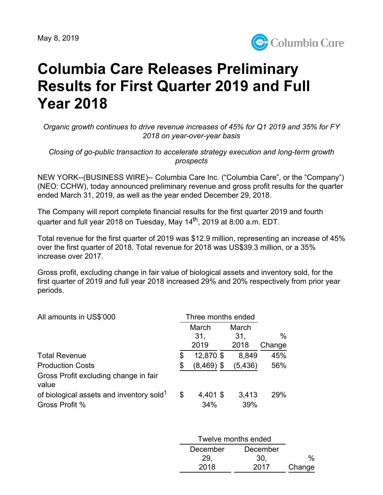May 8, 2019



# **Columbia Care Releases Preliminary Results for First Quarter 2019 and Full Year 2018**

*Organic growth continues to drive revenue increases of 45% for Q1 2019 and 35% for FY 2018 on year-over-year basis*

*Closing of go-public transaction to accelerate strategy execution and long-term growth prospects*

NEW YORK--(BUSINESS WIRE)-- Columbia Care Inc. ("Columbia Care", or the "Company") (NEO: CCHW), today announced preliminary revenue and gross profit results for the quarter ended March 31, 2019, as well as the year ended December 29, 2018.

The Company will report complete financial results for the first quarter 2019 and fourth quarter and full year 2018 on Tuesday, May 14<sup>th</sup>, 2019 at 8:00 a.m. EDT.

Total revenue for the first quarter of 2019 was \$12.9 million, representing an increase of 45% over the first quarter of 2018. Total revenue for 2018 was US\$39.3 million, or a 35% increase over 2017.

Gross profit, excluding change in fair value of biological assets and inventory sold, for the first quarter of 2019 and full year 2018 increased 29% and 20% respectively from prior year periods.

| All amounts in US\$'000                              | Three months ended |              |          |        |
|------------------------------------------------------|--------------------|--------------|----------|--------|
|                                                      |                    | March        | March    |        |
|                                                      |                    | 31.          | 31.      | $\%$   |
|                                                      |                    | 2019         | 2018     | Change |
| <b>Total Revenue</b>                                 | \$                 | 12,870 \$    | 8,849    | 45%    |
| <b>Production Costs</b>                              | \$                 | $(8,469)$ \$ | (5, 436) | 56%    |
| Gross Profit excluding change in fair<br>value       |                    |              |          |        |
| of biological assets and inventory sold <sup>1</sup> | \$                 | 4,401 \$     | 3,413    | 29%    |
| Gross Profit %                                       |                    | 34%          | 39%      |        |

| Twelve months ended |          |               |
|---------------------|----------|---------------|
| December            | December |               |
| 29.                 | 30.      | $\frac{0}{0}$ |
| 2018                | 2017     | Change        |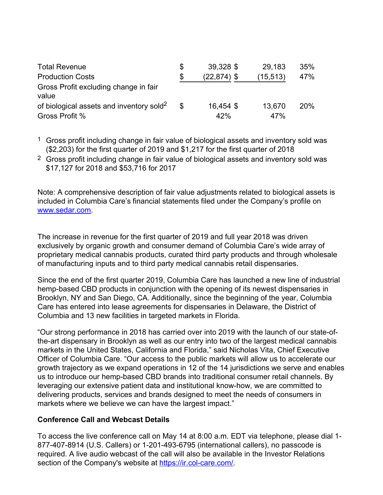| <b>Total Revenue</b>                                                   | \$ | 39,328 \$        | 29,183        | 35% |
|------------------------------------------------------------------------|----|------------------|---------------|-----|
| <b>Production Costs</b>                                                | \$ | $(22, 874)$ \$   | (15, 513)     | 47% |
| Gross Profit excluding change in fair<br>value                         |    |                  |               |     |
| of biological assets and inventory sold <sup>2</sup><br>Gross Profit % | £. | 16,454 \$<br>42% | 13,670<br>47% | 20% |

- 1 Gross profit including change in fair value of biological assets and inventory sold was (\$2,203) for the first quarter of 2019 and \$1,217 for the first quarter of 2018
- 2 Gross profit including change in fair value of biological assets and inventory sold was \$17,127 for 2018 and \$53,716 for 2017

Note: A comprehensive description of fair value adjustments related to biological assets is included in Columbia Care's financial statements filed under the Company's profile on [www.sedar.com.](http://www.sedar.com)

The increase in revenue for the first quarter of 2019 and full year 2018 was driven exclusively by organic growth and consumer demand of Columbia Care's wide array of proprietary medical cannabis products, curated third party products and through wholesale of manufacturing inputs and to third party medical cannabis retail dispensaries.

Since the end of the first quarter 2019, Columbia Care has launched a new line of industrial hemp-based CBD products in conjunction with the opening of its newest dispensaries in Brooklyn, NY and San Diego, CA. Additionally, since the beginning of the year, Columbia Care has entered into lease agreements for dispensaries in Delaware, the District of Columbia and 13 new facilities in targeted markets in Florida.

"Our strong performance in 2018 has carried over into 2019 with the launch of our state-ofthe-art dispensary in Brooklyn as well as our entry into two of the largest medical cannabis markets in the United States, California and Florida," said Nicholas Vita, Chief Executive Officer of Columbia Care. "Our access to the public markets will allow us to accelerate our growth trajectory as we expand operations in 12 of the 14 jurisdictions we serve and enables us to introduce our hemp-based CBD brands into traditional consumer retail channels. By leveraging our extensive patient data and institutional know-how, we are committed to delivering products, services and brands designed to meet the needs of consumers in markets where we believe we can have the largest impact."

### **Conference Call and Webcast Details**

To access the live conference call on May 14 at 8:00 a.m. EDT via telephone, please dial 1- 877-407-8914 (U.S. Callers) or 1-201-493-6795 (international callers), no passcode is required. A live audio webcast of the call will also be available in the Investor Relations section of the Company's website at [https://ir.col-care.com/.](https://ir.col-care.com/)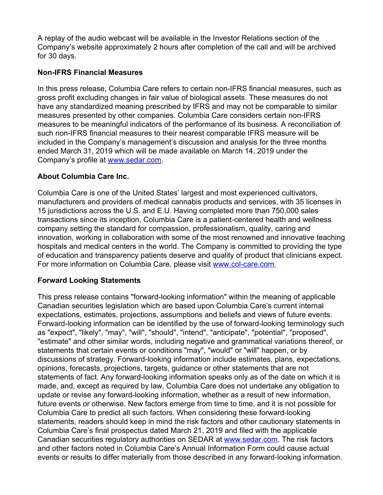A replay of the audio webcast will be available in the Investor Relations section of the Company's website approximately 2 hours after completion of the call and will be archived for 30 days.

## **Non-IFRS Financial Measures**

In this press release, Columbia Care refers to certain non-IFRS financial measures, such as gross profit excluding changes in fair value of biological assets. These measures do not have any standardized meaning prescribed by IFRS and may not be comparable to similar measures presented by other companies. Columbia Care considers certain non-IFRS measures to be meaningful indicators of the performance of its business. A reconciliation of such non-IFRS financial measures to their nearest comparable IFRS measure will be included in the Company's management's discussion and analysis for the three months ended March 31, 2019 which will be made available on March 14, 2019 under the Company's profile at [www.sedar.com](http://www.sedar.com).

# **About Columbia Care Inc.**

Columbia Care is one of the United States' largest and most experienced cultivators, manufacturers and providers of medical cannabis products and services, with 35 licenses in 15 jurisdictions across the U.S. and E.U. Having completed more than 750,000 sales transactions since its inception, Columbia Care is a patient-centered health and wellness company setting the standard for compassion, professionalism, quality, caring and innovation, working in collaboration with some of the most renowned and innovative teaching hospitals and medical centers in the world. The Company is committed to providing the type of education and transparency patients deserve and quality of product that clinicians expect. For more information on Columbia Care, please visit [www.col-care.com.](http://www.col-care.com)

### **Forward Looking Statements**

This press release contains "forward-looking information" within the meaning of applicable Canadian securities legislation which are based upon Columbia Care's current internal expectations, estimates, projections, assumptions and beliefs and views of future events. Forward-looking information can be identified by the use of forward-looking terminology such as "expect", "likely", "may", "will", "should", "intend", "anticipate", "potential", "proposed", "estimate" and other similar words, including negative and grammatical variations thereof, or statements that certain events or conditions "may", "would" or "will" happen, or by discussions of strategy. Forward-looking information include estimates, plans, expectations, opinions, forecasts, projections, targets, guidance or other statements that are not statements of fact. Any forward-looking information speaks only as of the date on which it is made, and, except as required by law, Columbia Care does not undertake any obligation to update or revise any forward-looking information, whether as a result of new information, future events or otherwise. New factors emerge from time to time, and it is not possible for Columbia Care to predict all such factors. When considering these forward-looking statements, readers should keep in mind the risk factors and other cautionary statements in Columbia Care's final prospectus dated March 21, 2019 and filed with the applicable Canadian securities regulatory authorities on SEDAR at [www.sedar.com](http://www.sedar.com). The risk factors and other factors noted in Columbia Care's Annual Information Form could cause actual events or results to differ materially from those described in any forward-looking information.